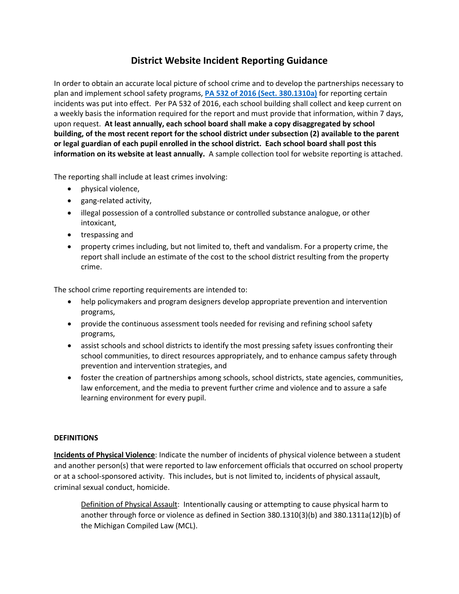## **District Website Incident Reporting Guidance**

In order to obtain an accurate local picture of school crime and to develop the partnerships necessary to plan and implement school safety programs, **[PA 532 of 2016 \(Sect. 380.1310a\)](http://www.legislature.mi.gov/documents/2015-2016/publicact/pdf/2016-PA-0532.pdf)** for reporting certain incidents was put into effect. Per PA 532 of 2016, each school building shall collect and keep current on a weekly basis the information required for the report and must provide that information, within 7 days, upon request. **At least annually, each school board shall make a copy disaggregated by school building, of the most recent report for the school district under subsection (2) available to the parent or legal guardian of each pupil enrolled in the school district. Each school board shall post this information on its website at least annually.** A sample collection tool for website reporting is attached.

The reporting shall include at least crimes involving:

- physical violence,
- gang-related activity,
- illegal possession of a controlled substance or controlled substance analogue, or other intoxicant,
- trespassing and
- property crimes including, but not limited to, theft and vandalism. For a property crime, the report shall include an estimate of the cost to the school district resulting from the property crime.

The school crime reporting requirements are intended to:

- help policymakers and program designers develop appropriate prevention and intervention programs,
- provide the continuous assessment tools needed for revising and refining school safety programs,
- assist schools and school districts to identify the most pressing safety issues confronting their school communities, to direct resources appropriately, and to enhance campus safety through prevention and intervention strategies, and
- foster the creation of partnerships among schools, school districts, state agencies, communities, law enforcement, and the media to prevent further crime and violence and to assure a safe learning environment for every pupil.

## **DEFINITIONS**

**Incidents of Physical Violence**: Indicate the number of incidents of physical violence between a student and another person(s) that were reported to law enforcement officials that occurred on school property or at a school-sponsored activity. This includes, but is not limited to, incidents of physical assault, criminal sexual conduct, homicide.

Definition of Physical Assault: Intentionally causing or attempting to cause physical harm to another through force or violence as defined in Section 380.1310(3)(b) and 380.1311a(12)(b) of the Michigan Compiled Law (MCL).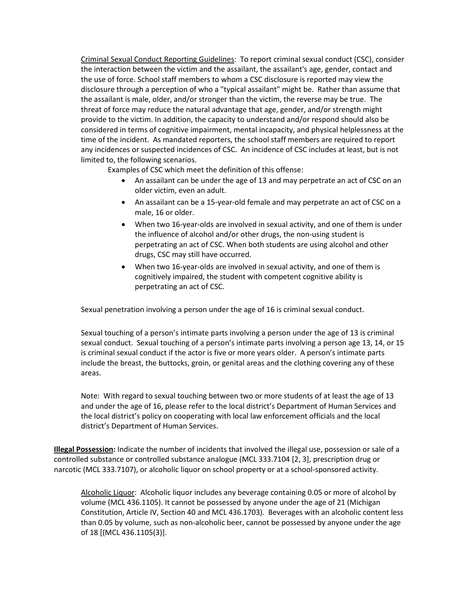Criminal Sexual Conduct Reporting Guidelines: To report criminal sexual conduct (CSC), consider the interaction between the victim and the assailant, the assailant's age, gender, contact and the use of force. School staff members to whom a CSC disclosure is reported may view the disclosure through a perception of who a "typical assailant" might be. Rather than assume that the assailant is male, older, and/or stronger than the victim, the reverse may be true. The threat of force may reduce the natural advantage that age, gender, and/or strength might provide to the victim. In addition, the capacity to understand and/or respond should also be considered in terms of cognitive impairment, mental incapacity, and physical helplessness at the time of the incident. As mandated reporters, the school staff members are required to report any incidences or suspected incidences of CSC. An incidence of CSC includes at least, but is not limited to, the following scenarios.

Examples of CSC which meet the definition of this offense:

- An assailant can be under the age of 13 and may perpetrate an act of CSC on an older victim, even an adult.
- An assailant can be a 15-year-old female and may perpetrate an act of CSC on a male, 16 or older.
- When two 16-year-olds are involved in sexual activity, and one of them is under the influence of alcohol and/or other drugs, the non-using student is perpetrating an act of CSC. When both students are using alcohol and other drugs, CSC may still have occurred.
- When two 16-year-olds are involved in sexual activity, and one of them is cognitively impaired, the student with competent cognitive ability is perpetrating an act of CSC.

Sexual penetration involving a person under the age of 16 is criminal sexual conduct.

Sexual touching of a person's intimate parts involving a person under the age of 13 is criminal sexual conduct. Sexual touching of a person's intimate parts involving a person age 13, 14, or 15 is criminal sexual conduct if the actor is five or more years older. A person's intimate parts include the breast, the buttocks, groin, or genital areas and the clothing covering any of these areas.

Note: With regard to sexual touching between two or more students of at least the age of 13 and under the age of 16, please refer to the local district's Department of Human Services and the local district's policy on cooperating with local law enforcement officials and the local district's Department of Human Services.

**Illegal Possession:** Indicate the number of incidents that involved the illegal use, possession or sale of a controlled substance or controlled substance analogue (MCL 333.7104 [2, 3], prescription drug or narcotic (MCL 333.7107), or alcoholic liquor on school property or at a school-sponsored activity.

Alcoholic Liquor: Alcoholic liquor includes any beverage containing 0.05 or more of alcohol by volume (MCL 436.1105). It cannot be possessed by anyone under the age of 21 (Michigan Constitution, Article IV, Section 40 and MCL 436.1703). Beverages with an alcoholic content less than 0.05 by volume, such as non-alcoholic beer, cannot be possessed by anyone under the age of 18 [(MCL 436.1105(3)].